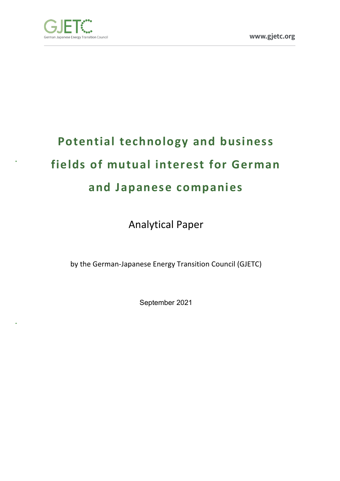

# **Potential technology and business fields of mutual interest for German and Japanese companies**

Analytical Paper

by the German-Japanese Energy Transition Council (GJETC)

September 2021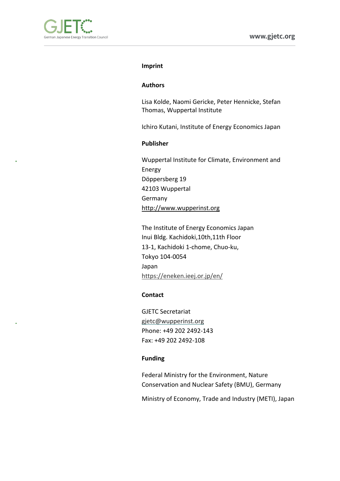

#### **Imprint**

#### **Authors**

Lisa Kolde, Naomi Gericke, Peter Hennicke, Stefan Thomas, Wuppertal Institute

Ichiro Kutani, Institute of Energy Economics Japan

### **Publisher**

Wuppertal Institute for Climate, Environment and Energy Döppersberg 19 42103 Wuppertal Germany http://www.wupperinst.org

The Institute of Energy Economics Japan Inui Bldg. Kachidoki,10th,11th Floor 13-1, Kachidoki 1-chome, Chuo-ku, Tokyo 104-0054 Japan https://eneken.ieej.or.jp/en/

#### **Contact**

GJETC Secretariat gjetc@wupperinst.org Phone: +49 202 2492-143 Fax: +49 202 2492-108

#### **Funding**

Federal Ministry for the Environment, Nature Conservation and Nuclear Safety (BMU), Germany

Ministry of Economy, Trade and Industry (METI), Japan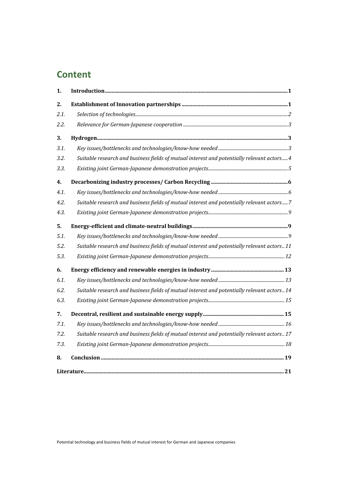# **Content**

| 1.   |                                                                                             |
|------|---------------------------------------------------------------------------------------------|
| 2.   |                                                                                             |
| 2.1. |                                                                                             |
| 2.2. |                                                                                             |
| 3.   |                                                                                             |
| 3.1. |                                                                                             |
| 3.2. | Suitable research and business fields of mutual interest and potentially relevant actors 4  |
| 3.3. |                                                                                             |
| 4.   |                                                                                             |
| 4.1. |                                                                                             |
| 4.2. | Suitable research and business fields of mutual interest and potentially relevant actors 7  |
| 4.3. |                                                                                             |
| 5.   |                                                                                             |
| 5.1. |                                                                                             |
| 5.2. | Suitable research and business fields of mutual interest and potentially relevant actors 11 |
| 5.3. |                                                                                             |
| 6.   |                                                                                             |
| 6.1. |                                                                                             |
| 6.2. | Suitable research and business fields of mutual interest and potentially relevant actors 14 |
| 6.3. |                                                                                             |
| 7.   |                                                                                             |
| 7.1. |                                                                                             |
| 7.2. | Suitable research and business fields of mutual interest and potentially relevant actors 17 |
| 7.3. |                                                                                             |
| 8.   |                                                                                             |
|      |                                                                                             |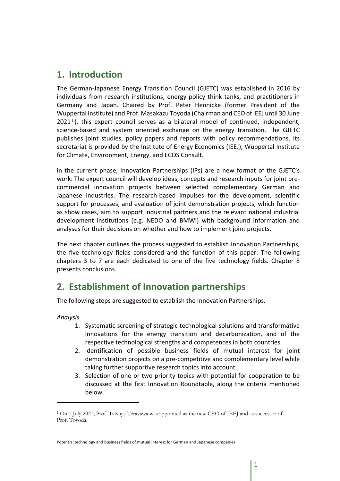# **1. Introduction**

The German-Japanese Energy Transition Council (GJETC) was established in 2016 by individuals from research institutions, energy policy think tanks, and practitioners in Germany and Japan. Chaired by Prof. Peter Hennicke (former President of the Wuppertal Institute) and Prof. Masakazu Toyoda (Chairman and CEO of IEEJ until 30 June  $2021<sup>1</sup>$ ), this expert council serves as a bilateral model of continued, independent, science-based and system oriented exchange on the energy transition. The GJETC publishes joint studies, policy papers and reports with policy recommendations. Its secretariat is provided by the Institute of Energy Economics (IEEJ), Wuppertal Institute for Climate, Environment, Energy, and ECOS Consult.

In the current phase, Innovation Partnerships (IPs) are a new format of the GJETC's work: The expert council will develop ideas, concepts and research inputs for joint precommercial innovation projects between selected complementary German and Japanese industries. The research-based impulses for the development, scientific support for processes, and evaluation of joint demonstration projects, which function as show cases, aim to support industrial partners and the relevant national industrial development institutions (e.g. NEDO and BMWi) with background information and analyses for their decisions on whether and how to implement joint projects.

The next chapter outlines the process suggested to establish Innovation Partnerships, the five technology fields considered and the function of this paper. The following chapters 3 to 7 are each dedicated to one of the five technology fields. Chapter 8 presents conclusions.

# **2. Establishment of Innovation partnerships**

The following steps are suggested to establish the Innovation Partnerships.

*Analysis*

- 1. Systematic screening of strategic technological solutions and transformative innovations for the energy transition and decarbonization, and of the respective technological strengths and competences in both countries.
- 2. Identification of possible business fields of mutual interest for joint demonstration projects on a pre-competitive and complementary level while taking further supportive research topics into account.
- 3. Selection of one or two priority topics with potential for cooperation to be discussed at the first Innovation Roundtable, along the criteria mentioned below.

<sup>1</sup> On 1 July 2021, Prof. Tatsuya Terazawa was appointed as the new CEO of IEEJ and as successor of Prof. Toyoda.

Potential technology and business fields of mutual interest for German and Japanese companies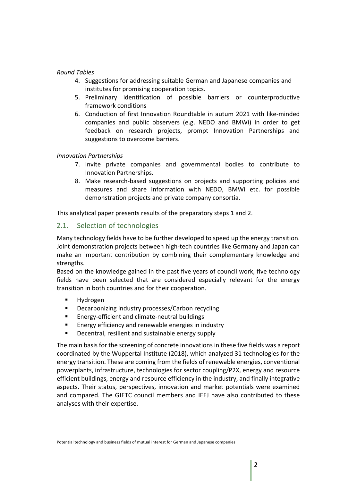### *Round Tables*

- 4. Suggestions for addressing suitable German and Japanese companies and institutes for promising cooperation topics.
- 5. Preliminary identification of possible barriers or counterproductive framework conditions
- 6. Conduction of first Innovation Roundtable in autum 2021 with like-minded companies and public observers (e.g. NEDO and BMWi) in order to get feedback on research projects, prompt Innovation Partnerships and suggestions to overcome barriers.

### *Innovation Partnerships*

- 7. Invite private companies and governmental bodies to contribute to Innovation Partnerships.
- 8. Make research-based suggestions on projects and supporting policies and measures and share information with NEDO, BMWi etc. for possible demonstration projects and private company consortia.

This analytical paper presents results of the preparatory steps 1 and 2.

### 2.1. Selection of technologies

Many technology fields have to be further developed to speed up the energy transition. Joint demonstration projects between high-tech countries like Germany and Japan can make an important contribution by combining their complementary knowledge and strengths.

Based on the knowledge gained in the past five years of council work, five technology fields have been selected that are considered especially relevant for the energy transition in both countries and for their cooperation.

- § Hydrogen
- § Decarbonizing industry processes/Carbon recycling
- § Energy-efficient and climate-neutral buildings
- Energy efficiency and renewable energies in industry
- § Decentral, resilient and sustainable energy supply

The main basis for the screening of concrete innovations in these five fields was a report coordinated by the Wuppertal Institute (2018), which analyzed 31 technologies for the energy transition. These are coming from the fields of renewable energies, conventional powerplants, infrastructure, technologies for sector coupling/P2X, energy and resource efficient buildings, energy and resource efficiency in the industry, and finally integrative aspects. Their status, perspectives, innovation and market potentials were examined and compared. The GJETC council members and IEEJ have also contributed to these analyses with their expertise.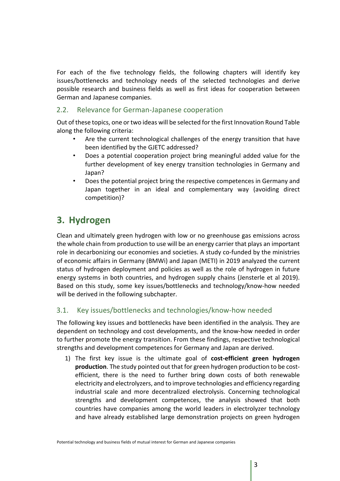For each of the five technology fields, the following chapters will identify key issues/bottlenecks and technology needs of the selected technologies and derive possible research and business fields as well as first ideas for cooperation between German and Japanese companies.

### 2.2. Relevance for German-Japanese cooperation

Out of these topics, one or two ideas will be selected for the first Innovation Round Table along the following criteria:

- Are the current technological challenges of the energy transition that have been identified by the GJETC addressed?
- Does a potential cooperation project bring meaningful added value for the further development of key energy transition technologies in Germany and Japan?
- Does the potential project bring the respective competences in Germany and Japan together in an ideal and complementary way (avoiding direct competition)?

# **3. Hydrogen**

Clean and ultimately green hydrogen with low or no greenhouse gas emissions across the whole chain from production to use will be an energy carrier that plays an important role in decarbonizing our economies and societies. A study co-funded by the ministries of economic affairs in Germany (BMWi) and Japan (METI) in 2019 analyzed the current status of hydrogen deployment and policies as well as the role of hydrogen in future energy systems in both countries, and hydrogen supply chains (Jensterle et al 2019). Based on this study, some key issues/bottlenecks and technology/know-how needed will be derived in the following subchapter.

### 3.1. Key issues/bottlenecks and technologies/know-how needed

The following key issues and bottlenecks have been identified in the analysis. They are dependent on technology and cost developments, and the know-how needed in order to further promote the energy transition. From these findings, respective technological strengths and development competences for Germany and Japan are derived.

1) The first key issue is the ultimate goal of **cost-efficient green hydrogen production**. The study pointed out that for green hydrogen production to be costefficient, there is the need to further bring down costs of both renewable electricity and electrolyzers, and to improve technologies and efficiency regarding industrial scale and more decentralized electrolysis. Concerning technological strengths and development competences, the analysis showed that both countries have companies among the world leaders in electrolyzer technology and have already established large demonstration projects on green hydrogen

Potential technology and business fields of mutual interest for German and Japanese companies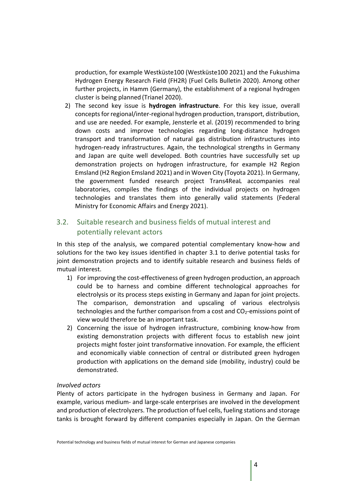production, for example Westküste100 (Westküste100 2021) and the Fukushima Hydrogen Energy Research Field (FH2R) (Fuel Cells Bulletin 2020). Among other further projects, in Hamm (Germany), the establishment of a regional hydrogen cluster is being planned (Trianel 2020).

2) The second key issue is **hydrogen infrastructure**. For this key issue, overall concepts for regional/inter-regional hydrogen production, transport, distribution, and use are needed. For example, Jensterle et al. (2019) recommended to bring down costs and improve technologies regarding long-distance hydrogen transport and transformation of natural gas distribution infrastructures into hydrogen-ready infrastructures. Again, the technological strengths in Germany and Japan are quite well developed. Both countries have successfully set up demonstration projects on hydrogen infrastructure, for example H2 Region Emsland (H2 Region Emsland 2021) and in Woven City (Toyota 2021). In Germany, the government funded research project Trans4ReaL accompanies real laboratories, compiles the findings of the individual projects on hydrogen technologies and translates them into generally valid statements (Federal Ministry for Economic Affairs and Energy 2021).

# 3.2. Suitable research and business fields of mutual interest and potentially relevant actors

In this step of the analysis, we compared potential complementary know-how and solutions for the two key issues identified in chapter 3.1 to derive potential tasks for joint demonstration projects and to identify suitable research and business fields of mutual interest.

- 1) For improving the cost-effectiveness of green hydrogen production, an approach could be to harness and combine different technological approaches for electrolysis or its process steps existing in Germany and Japan for joint projects. The comparison, demonstration and upscaling of various electrolysis technologies and the further comparison from a cost and  $CO<sub>2</sub>$ -emissions point of view would therefore be an important task.
- 2) Concerning the issue of hydrogen infrastructure, combining know-how from existing demonstration projects with different focus to establish new joint projects might foster joint transformative innovation. For example, the efficient and economically viable connection of central or distributed green hydrogen production with applications on the demand side (mobility, industry) could be demonstrated.

### *Involved actors*

Plenty of actors participate in the hydrogen business in Germany and Japan. For example, various medium- and large-scale enterprises are involved in the development and production of electrolyzers. The production of fuel cells, fueling stations and storage tanks is brought forward by different companies especially in Japan. On the German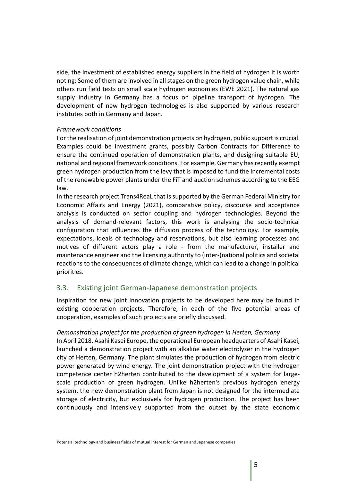side, the investment of established energy suppliers in the field of hydrogen it is worth noting: Some of them are involved in all stages on the green hydrogen value chain, while others run field tests on small scale hydrogen economies (EWE 2021). The natural gas supply industry in Germany has a focus on pipeline transport of hydrogen. The development of new hydrogen technologies is also supported by various research institutes both in Germany and Japan.

### *Framework conditions*

For the realisation of joint demonstration projects on hydrogen, public support is crucial. Examples could be investment grants, possibly Carbon Contracts for Difference to ensure the continued operation of demonstration plants, and designing suitable EU, national and regional framework conditions. For example, Germany has recently exempt green hydrogen production from the levy that is imposed to fund the incremental costs of the renewable power plants under the FiT and auction schemes according to the EEG law.

In the research project Trans4ReaL that is supported by the German Federal Ministry for Economic Affairs and Energy (2021), comparative policy, discourse and acceptance analysis is conducted on sector coupling and hydrogen technologies. Beyond the analysis of demand-relevant factors, this work is analysing the socio-technical configuration that influences the diffusion process of the technology. For example, expectations, ideals of technology and reservations, but also learning processes and motives of different actors play a role - from the manufacturer, installer and maintenance engineer and the licensing authority to (inter-)national politics and societal reactions to the consequences of climate change, which can lead to a change in political priorities.

# 3.3. Existing joint German-Japanese demonstration projects

Inspiration for new joint innovation projects to be developed here may be found in existing cooperation projects. Therefore, in each of the five potential areas of cooperation, examples of such projects are briefly discussed.

### *Demonstration project for the production of green hydrogen in Herten, Germany*

In April 2018, Asahi Kasei Europe, the operational European headquarters of Asahi Kasei, launched a demonstration project with an alkaline water electrolyzer in the hydrogen city of Herten, Germany. The plant simulates the production of hydrogen from electric power generated by wind energy. The joint demonstration project with the hydrogen competence center h2herten contributed to the development of a system for largescale production of green hydrogen. Unlike h2herten's previous hydrogen energy system, the new demonstration plant from Japan is not designed for the intermediate storage of electricity, but exclusively for hydrogen production. The project has been continuously and intensively supported from the outset by the state economic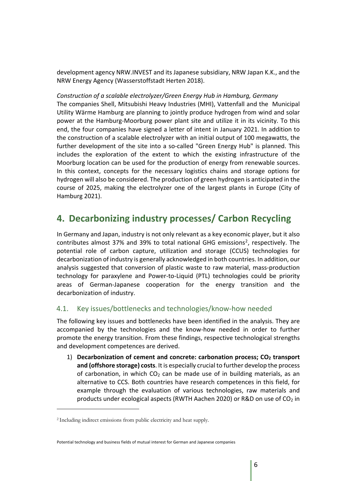development agency NRW.INVEST and its Japanese subsidiary, NRW Japan K.K., and the NRW Energy Agency (Wasserstoffstadt Herten 2018).

### *Construction of a scalable electrolyzer/Green Energy Hub in Hamburg, Germany*

The companies Shell, Mitsubishi Heavy Industries (MHI), Vattenfall and the Municipal Utility Wärme Hamburg are planning to jointly produce hydrogen from wind and solar power at the Hamburg-Moorburg power plant site and utilize it in its vicinity. To this end, the four companies have signed a letter of intent in January 2021. In addition to the construction of a scalable electrolyzer with an initial output of 100 megawatts, the further development of the site into a so-called "Green Energy Hub" is planned. This includes the exploration of the extent to which the existing infrastructure of the Moorburg location can be used for the production of energy from renewable sources. In this context, concepts for the necessary logistics chains and storage options for hydrogen will also be considered. The production of green hydrogen is anticipated in the course of 2025, making the electrolyzer one of the largest plants in Europe (City of Hamburg 2021).

# **4. Decarbonizing industry processes/ Carbon Recycling**

In Germany and Japan, industry is not only relevant as a key economic player, but it also contributes almost 37% and 39% to total national GHG emissions<sup>2</sup>, respectively. The potential role of carbon capture, utilization and storage (CCUS) technologies for decarbonization of industry is generally acknowledged in both countries. In addition, our analysis suggested that conversion of plastic waste to raw material, mass-production technology for paraxylene and Power-to-Liquid (PTL) technologies could be priority areas of German-Japanese cooperation for the energy transition and the decarbonization of industry.

### 4.1. Key issues/bottlenecks and technologies/know-how needed

The following key issues and bottlenecks have been identified in the analysis. They are accompanied by the technologies and the know-how needed in order to further promote the energy transition. From these findings, respective technological strengths and development competences are derived.

1) **Decarbonization of cement and concrete: carbonation process; CO<sub>2</sub> transport and (offshore storage) costs**. It is especially crucial to further develop the process of carbonation, in which  $CO<sub>2</sub>$  can be made use of in building materials, as an alternative to CCS. Both countries have research competences in this field, for example through the evaluation of various technologies, raw materials and products under ecological aspects (RWTH Aachen 2020) or R&D on use of  $CO<sub>2</sub>$  in

<sup>2</sup> Including indirect emissions from public electricity and heat supply.

Potential technology and business fields of mutual interest for German and Japanese companies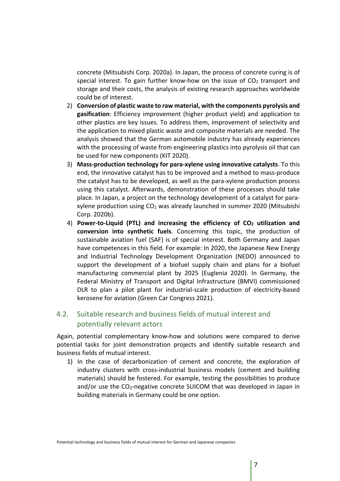concrete (Mitsubishi Corp. 2020a). In Japan, the process of concrete curing is of special interest. To gain further know-how on the issue of  $CO<sub>2</sub>$  transport and storage and their costs, the analysis of existing research approaches worldwide could be of interest.

- 2) **Conversion of plastic waste to raw material, with the components pyrolysis and gasification**: Efficiency improvement (higher product yield) and application to other plastics are key issues. To address them, improvement of selectivity and the application to mixed plastic waste and composite materials are needed. The analysis showed that the German automobile industry has already experiences with the processing of waste from engineering plastics into pyrolysis oil that can be used for new components (KIT 2020).
- 3) **Mass-production technology for para-xylene using innovative catalysts**. To this end, the innovative catalyst has to be improved and a method to mass-produce the catalyst has to be developed, as well as the para-xylene production process using this catalyst. Afterwards, demonstration of these processes should take place. In Japan, a project on the technology development of a catalyst for paraxylene production using  $CO<sub>2</sub>$  was already launched in summer 2020 (Mitsubishi Corp. 2020b).
- 4) **Power-to-Liquid (PTL) and increasing the efficiency of CO2 utilization and conversion into synthetic fuels**. Concerning this topic, the production of sustainable aviation fuel (SAF) is of special interest. Both Germany and Japan have competences in this field. For example: In 2020, the Japanese New Energy and Industrial Technology Development Organization (NEDO) announced to support the development of a biofuel supply chain and plans for a biofuel manufacturing commercial plant by 2025 (Euglenia 2020). In Germany, the Federal Ministry of Transport and Digital Infrastructure (BMVI) commissioned DLR to plan a pilot plant for industrial-scale production of electricity-based kerosene for aviation (Green Car Congress 2021).

## 4.2. Suitable research and business fields of mutual interest and potentially relevant actors

Again, potential complementary know-how and solutions were compared to derive potential tasks for joint demonstration projects and identify suitable research and business fields of mutual interest.

1) In the case of decarbonization of cement and concrete, the exploration of industry clusters with cross-industrial business models (cement and building materials) should be fostered. For example, testing the possibilities to produce and/or use the CO<sub>2</sub>-negative concrete SUICOM that was developed in Japan in building materials in Germany could be one option.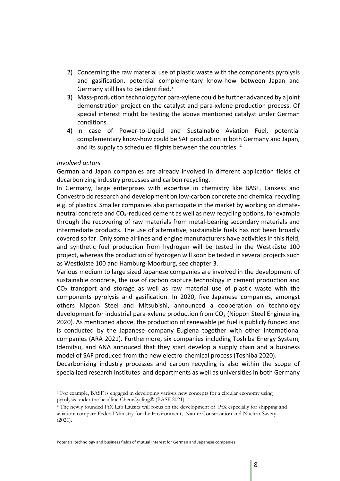- 2) Concerning the raw material use of plastic waste with the components pyrolysis and gasification, potential complementary know-how between Japan and Germany still has to be identified.<sup>3</sup>
- 3) Mass-production technology for para-xylene could be further advanced by a joint demonstration project on the catalyst and para-xylene production process. Of special interest might be testing the above mentioned catalyst under German conditions.
- 4) In case of Power-to-Liquid and Sustainable Aviation Fuel, potential complementary know-how could be SAF production in both Germany and Japan, and its supply to scheduled flights between the countries. 4

### *Involved actors*

German and Japan companies are already involved in different application fields of decarbonizing industry processes and carbon recycling.

In Germany, large enterprises with expertise in chemistry like BASF, Lanxess and Convestro do research and development on low-carbon concrete and chemical recycling e.g. of plastics. Smaller companies also participate in the market by working on climateneutral concrete and CO<sub>2</sub>-reduced cement as well as new recycling options, for example through the recovering of raw materials from metal-bearing secondary materials and intermediate products. The use of alternative, sustainable fuels has not been broadly covered so far. Only some airlines and engine manufacturers have activities in this field, and synthetic fuel production from hydrogen will be tested in the Westküste 100 project, whereas the production of hydrogen will soon be tested in several projects such as Westküste 100 and Hamburg-Moorburg, see chapter 3.

Various medium to large sized Japanese companies are involved in the development of sustainable concrete, the use of carbon capture technology in cement production and  $CO<sub>2</sub>$  transport and storage as well as raw material use of plastic waste with the components pyrolysis and gasification. In 2020, five Japanese companies, amongst others Nippon Steel and Mitsubishi, announced a cooperation on technology development for industrial para-xylene production from  $CO<sub>2</sub>$  (Nippon Steel Engineering 2020). As mentioned above, the production of renewable jet fuel is publicly funded and is conducted by the Japanese company Euglena together with other international companies (ARA 2021). Furthermore, six companies including Toshiba Energy System, Idemitsu, and ANA annouced that they start develop a supply chain and a business model of SAF produced from the new electro-chemical process (Toshiba 2020).

Decarbonizing industry processes and carbon recycling is also within the scope of specialized research institutes and departments as well as universities in both Germany

<sup>3</sup> For example, BASF is engaged in developing various new concepts for a circular economy using pyrolysis under the headline ChemCycling® (BASF 2021).

<sup>4</sup> The newly founded PtX Lab Lausitz will focus on the development of PtX especially for shipping and aviation; compare Federal Ministry for the Environment, Nature Conservation and Nuclear Savety (2021).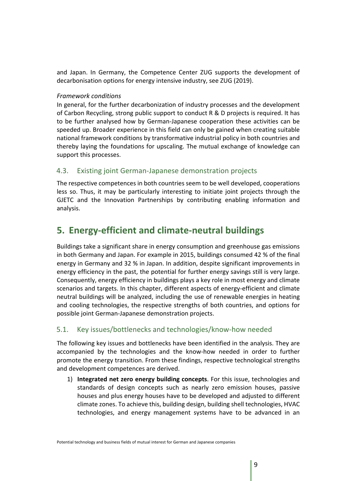and Japan. In Germany, the Competence Center ZUG supports the development of decarbonisation options for energy intensive industry, see ZUG (2019).

### *Framework conditions*

In general, for the further decarbonization of industry processes and the development of Carbon Recycling, strong public support to conduct R & D projects is required. It has to be further analysed how by German-Japanese cooperation these activities can be speeded up. Broader experience in this field can only be gained when creating suitable national framework conditions by transformative industrial policy in both countries and thereby laying the foundations for upscaling. The mutual exchange of knowledge can support this processes.

### 4.3. Existing joint German-Japanese demonstration projects

The respective competences in both countries seem to be well developed, cooperations less so. Thus, it may be particularly interesting to initiate joint projects through the GJETC and the Innovation Partnerships by contributing enabling information and analysis.

# **5. Energy-efficient and climate-neutral buildings**

Buildings take a significant share in energy consumption and greenhouse gas emissions in both Germany and Japan. For example in 2015, buildings consumed 42 % of the final energy in Germany and 32 % in Japan. In addition, despite significant improvements in energy efficiency in the past, the potential for further energy savings still is very large. Consequently, energy efficiency in buildings plays a key role in most energy and climate scenarios and targets. In this chapter, different aspects of energy-efficient and climate neutral buildings will be analyzed, including the use of renewable energies in heating and cooling technologies, the respective strengths of both countries, and options for possible joint German-Japanese demonstration projects.

### 5.1. Key issues/bottlenecks and technologies/know-how needed

The following key issues and bottlenecks have been identified in the analysis. They are accompanied by the technologies and the know-how needed in order to further promote the energy transition. From these findings, respective technological strengths and development competences are derived.

1) **Integrated net zero energy building concepts**. For this issue, technologies and standards of design concepts such as nearly zero emission houses, passive houses and plus energy houses have to be developed and adjusted to different climate zones. To achieve this, building design, building shell technologies, HVAC technologies, and energy management systems have to be advanced in an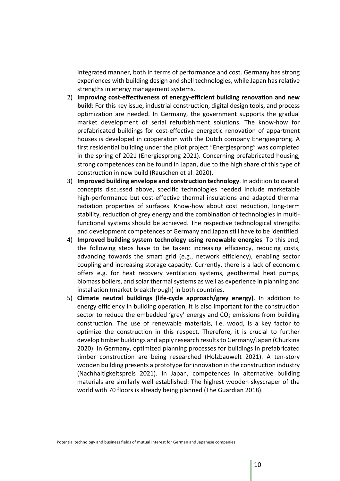integrated manner, both in terms of performance and cost. Germany has strong experiences with building design and shell technologies, while Japan has relative strengths in energy management systems.

- 2) **Improving cost-effectiveness of energy-efficient building renovation and new build**: For this key issue, industrial construction, digital design tools, and process optimization are needed. In Germany, the government supports the gradual market development of serial refurbishment solutions. The know-how for prefabricated buildings for cost-effective energetic renovation of appartment houses is developed in cooperation with the Dutch company Energiesprong. A first residential building under the pilot project "Energiesprong" was completed in the spring of 2021 (Energiesprong 2021). Concerning prefabricated housing, strong competences can be found in Japan, due to the high share of this type of construction in new build (Rauschen et al. 2020).
- 3) **Improved building envelope and construction technology**. In addition to overall concepts discussed above, specific technologies needed include marketable high-performance but cost-effective thermal insulations and adapted thermal radiation properties of surfaces. Know-how about cost reduction, long-term stability, reduction of grey energy and the combination of technologies in multifunctional systems should be achieved. The respective technological strengths and development competences of Germany and Japan still have to be identified.
- 4) **Improved building system technology using renewable energies**. To this end, the following steps have to be taken: increasing efficiency, reducing costs, advancing towards the smart grid (e.g., network efficiency), enabling sector coupling and increasing storage capacity. Currently, there is a lack of economic offers e.g. for heat recovery ventilation systems, geothermal heat pumps, biomass boilers, and solar thermal systems as well as experience in planning and installation (market breakthrough) in both countries.
- 5) **Climate neutral buildings (life-cycle approach/grey energy)**. In addition to energy efficiency in building operation, it is also important for the construction sector to reduce the embedded 'grey' energy and  $CO<sub>2</sub>$  emissions from building construction. The use of renewable materials, i.e. wood, is a key factor to optimize the construction in this respect. Therefore, it is crucial to further develop timber buildings and apply research results to Germany/Japan (Churkina 2020). In Germany, optimized planning processes for buildings in prefabricated timber construction are being researched (Holzbauwelt 2021). A ten-story wooden building presents a prototype for innovation in the construction industry (Nachhaltigkeitspreis 2021). In Japan, competences in alternative building materials are similarly well established: The highest wooden skyscraper of the world with 70 floors is already being planned (The Guardian 2018).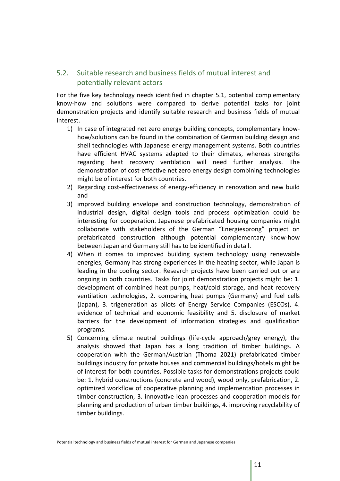# 5.2. Suitable research and business fields of mutual interest and potentially relevant actors

For the five key technology needs identified in chapter 5.1, potential complementary know-how and solutions were compared to derive potential tasks for joint demonstration projects and identify suitable research and business fields of mutual interest.

- 1) In case of integrated net zero energy building concepts, complementary knowhow/solutions can be found in the combination of German building design and shell technologies with Japanese energy management systems. Both countries have efficient HVAC systems adapted to their climates, whereas strengths regarding heat recovery ventilation will need further analysis. The demonstration of cost-effective net zero energy design combining technologies might be of interest for both countries.
- 2) Regarding cost-effectiveness of energy-efficiency in renovation and new build and
- 3) improved building envelope and construction technology, demonstration of industrial design, digital design tools and process optimization could be interesting for cooperation. Japanese prefabricated housing companies might collaborate with stakeholders of the German "Energiesprong" project on prefabricated construction although potential complementary know-how between Japan and Germany still has to be identified in detail.
- 4) When it comes to improved building system technology using renewable energies, Germany has strong experiences in the heating sector, while Japan is leading in the cooling sector. Research projects have been carried out or are ongoing in both countries. Tasks for joint demonstration projects might be: 1. development of combined heat pumps, heat/cold storage, and heat recovery ventilation technologies, 2. comparing heat pumps (Germany) and fuel cells (Japan), 3. trigeneration as pilots of Energy Service Companies (ESCOs), 4. evidence of technical and economic feasibility and 5. disclosure of market barriers for the development of information strategies and qualification programs.
- 5) Concerning climate neutral buildings (life-cycle approach/grey energy), the analysis showed that Japan has a long tradition of timber buildings. A cooperation with the German/Austrian (Thoma 2021) prefabricated timber buildings industry for private houses and commercial buildings/hotels might be of interest for both countries. Possible tasks for demonstrations projects could be: 1. hybrid constructions (concrete and wood), wood only, prefabrication, 2. optimized workflow of cooperative planning and implementation processes in timber construction, 3. innovative lean processes and cooperation models for planning and production of urban timber buildings, 4. improving recyclability of timber buildings.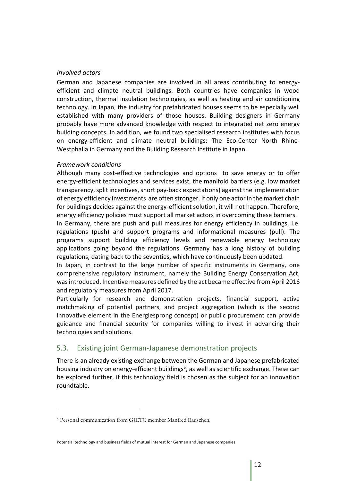### *Involved actors*

German and Japanese companies are involved in all areas contributing to energyefficient and climate neutral buildings. Both countries have companies in wood construction, thermal insulation technologies, as well as heating and air conditioning technology. In Japan, the industry for prefabricated houses seems to be especially well established with many providers of those houses. Building designers in Germany probably have more advanced knowledge with respect to integrated net zero energy building concepts. In addition, we found two specialised research institutes with focus on energy-efficient and climate neutral buildings: The Eco-Center North Rhine-Westphalia in Germany and the Building Research Institute in Japan.

### *Framework conditions*

Although many cost-effective technologies and options to save energy or to offer energy-efficient technologies and services exist, the manifold barriers (e.g. low market transparency, split incentives, short pay-back expectations) against the implementation of energy efficiency investments are often stronger. If only one actor in the market chain for buildings decides against the energy-efficient solution, it will not happen. Therefore, energy efficiency policies must support all market actors in overcoming these barriers.

In Germany, there are push and pull measures for energy efficiency in buildings, i.e. regulations (push) and support programs and informational measures (pull). The programs support building efficiency levels and renewable energy technology applications going beyond the regulations. Germany has a long history of building regulations, dating back to the seventies, which have continuously been updated.

In Japan, in contrast to the large number of specific instruments in Germany, one comprehensive regulatory instrument, namely the Building Energy Conservation Act, was introduced. Incentive measures defined by the act became effective from April 2016 and regulatory measures from April 2017.

Particularly for research and demonstration projects, financial support, active matchmaking of potential partners, and project aggregation (which is the second innovative element in the Energiesprong concept) or public procurement can provide guidance and financial security for companies willing to invest in advancing their technologies and solutions.

### 5.3. Existing joint German-Japanese demonstration projects

There is an already existing exchange between the German and Japanese prefabricated housing industry on energy-efficient buildings<sup>5</sup>, as well as scientific exchange. These can be explored further, if this technology field is chosen as the subject for an innovation roundtable.

<sup>5</sup> Personal communication from GJETC member Manfred Rauschen.

Potential technology and business fields of mutual interest for German and Japanese companies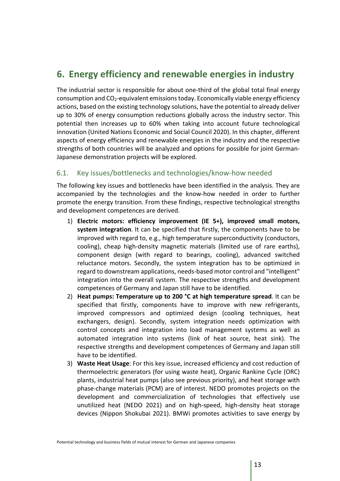# **6. Energy efficiency and renewable energies in industry**

The industrial sector is responsible for about one-third of the global total final energy consumption and CO2-equivalent emissions today. Economically viable energy efficiency actions, based on the existing technology solutions, have the potential to already deliver up to 30% of energy consumption reductions globally across the industry sector. This potential then increases up to 60% when taking into account future technological innovation (United Nations Economic and Social Council 2020). In this chapter, different aspects of energy efficiency and renewable energies in the industry and the respective strengths of both countries will be analyzed and options for possible for joint German-Japanese demonstration projects will be explored.

## 6.1. Key issues/bottlenecks and technologies/know-how needed

The following key issues and bottlenecks have been identified in the analysis. They are accompanied by the technologies and the know-how needed in order to further promote the energy transition. From these findings, respective technological strengths and development competences are derived.

- 1) **Electric motors: efficiency improvement (IE 5+), improved small motors, system integration**. It can be specified that firstly, the components have to be improved with regard to, e.g., high temperature superconductivity (conductors, cooling), cheap high-density magnetic materials (limited use of rare earths), component design (with regard to bearings, cooling), advanced switched reluctance motors. Secondly, the system integration has to be optimized in regard to downstream applications, needs-based motor control and "intelligent" integration into the overall system. The respective strengths and development competences of Germany and Japan still have to be identified.
- 2) **Heat pumps: Temperature up to 200 °C at high temperature spread**. It can be specified that firstly, components have to improve with new refrigerants, improved compressors and optimized design (cooling techniques, heat exchangers, design). Secondly, system integration needs optimization with control concepts and integration into load management systems as well as automated integration into systems (link of heat source, heat sink). The respective strengths and development competences of Germany and Japan still have to be identified.
- 3) **Waste Heat Usage**: For this key issue, increased efficiency and cost reduction of thermoelectric generators (for using waste heat), Organic Rankine Cycle (ORC) plants, industrial heat pumps (also see previous priority), and heat storage with phase-change materials (PCM) are of interest. NEDO promotes projects on the development and commercialization of technologies that effectively use unutilized heat (NEDO 2021) and on high-speed, high-density heat storage devices (Nippon Shokubai 2021). BMWi promotes activities to save energy by

Potential technology and business fields of mutual interest for German and Japanese companies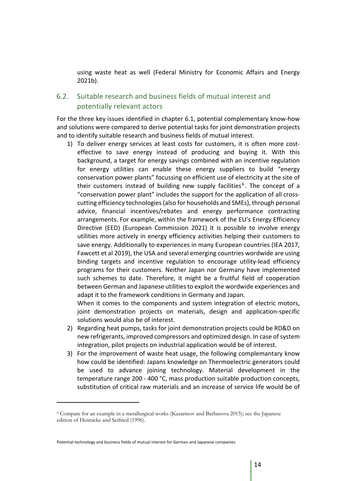using waste heat as well (Federal Ministry for Economic Affairs and Energy 2021b).

# 6.2. Suitable research and business fields of mutual interest and potentially relevant actors

For the three key issues identified in chapter 6.1, potential complementary know-how and solutions were compared to derive potential tasks for joint demonstration projects and to identify suitable research and business fields of mutual interest.

1) To deliver energy services at least costs for customers, it is often more costeffective to save energy instead of producing and buying it. With this background, a target for energy savings combined with an incentive regulation for energy utilities can enable these energy suppliers to build "energy conservation power plants" focussing on efficient use of electricity at the site of their customers instead of building new supply facilities<sup>6</sup>. The concept of a "conservation power plant" includes the support for the application of all crosscutting efficiency technologies(also for households and SMEs), through personal advice, financial incentives/rebates and energy performance contracting arrangements. For example, within the framework of the EU's Energy Efficiency Directive (EED) (European Commission 2021) it is possible to involve energy utilities more actively in energy efficiency activities helping their customers to save energy. Additionally to experiences in many European countries (IEA 2017, Fawcett et al 2019), the USA and several emerging countries wordwide are using binding targets and incentive regulation to encourage utility-lead efficiency programs for their customers. Neither Japan nor Germany have implemented such schemes to date. Therefore, it might be a fruitful field of cooperation between German and Japanese utilities to exploit the wordwide experiences and adapt it to the framework conditions in Germany and Japan.

When it comes to the components and system integration of electric motors, joint demonstration projects on materials, design and application-specific solutions would also be of interest.

- 2) Regarding heat pumps, tasks for joint demonstration projects could be RD&D on new refrigerants, improved compressors and optimized design. In case of system integration, pilot projects on industrial application would be of interest.
- 3) For the improvement of waste heat usage, the following complemantary know how could be identified: Japans knowledge on Thermoelectric generators could be used to advance joining technology. Material development in the temperature range 200 - 400 °C, mass production suitable production concepts, substitution of critical raw materials and an increase of service life would be of

<sup>6</sup> Compare for an example in a metallurgical works (Kazarinov and Barbasova 2015); see the Japanese edition of Hennicke and Seifried (1996).

Potential technology and business fields of mutual interest for German and Japanese companies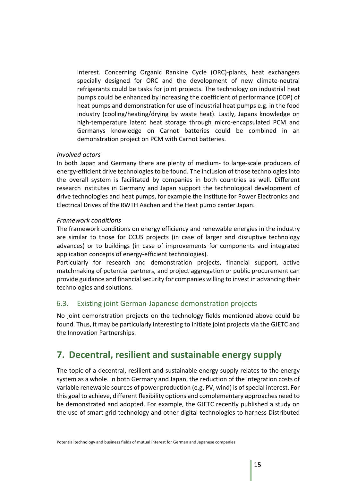interest. Concerning Organic Rankine Cycle (ORC)-plants, heat exchangers specially designed for ORC and the development of new climate-neutral refrigerants could be tasks for joint projects. The technology on industrial heat pumps could be enhanced by increasing the coefficient of performance (COP) of heat pumps and demonstration for use of industrial heat pumps e.g. in the food industry (cooling/heating/drying by waste heat). Lastly, Japans knowledge on high-temperature latent heat storage through micro-encapsulated PCM and Germanys knowledge on Carnot batteries could be combined in an demonstration project on PCM with Carnot batteries.

### *Involved actors*

In both Japan and Germany there are plenty of medium- to large-scale producers of energy-efficient drive technologies to be found. The inclusion of those technologies into the overall system is facilitated by companies in both countries as well. Different research institutes in Germany and Japan support the technological development of drive technologies and heat pumps, for example the Institute for Power Electronics and Electrical Drives of the RWTH Aachen and the Heat pump center Japan.

### *Framework conditions*

The framework conditions on energy efficiency and renewable energies in the industry are similar to those for CCUS projects (in case of larger and disruptive technology advances) or to buildings (in case of improvements for components and integrated application concepts of energy-efficient technologies).

Particularly for research and demonstration projects, financial support, active matchmaking of potential partners, and project aggregation or public procurement can provide guidance and financial security for companies willing to invest in advancing their technologies and solutions.

### 6.3. Existing joint German-Japanese demonstration projects

No joint demonstration projects on the technology fields mentioned above could be found. Thus, it may be particularly interesting to initiate joint projects via the GJETC and the Innovation Partnerships.

# **7. Decentral, resilient and sustainable energy supply**

The topic of a decentral, resilient and sustainable energy supply relates to the energy system as a whole. In both Germany and Japan, the reduction of the integration costs of variable renewable sources of power production (e.g. PV, wind) is of special interest. For this goal to achieve, different flexibility options and complementary approaches need to be demonstrated and adopted. For example, the GJETC recently published a study on the use of smart grid technology and other digital technologies to harness Distributed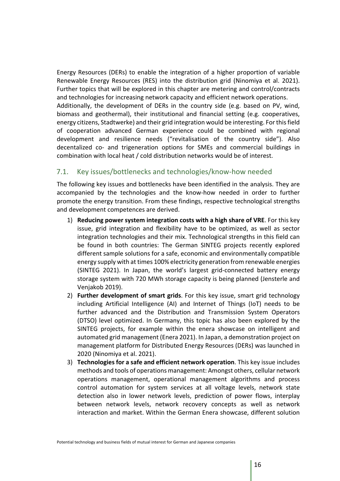Energy Resources (DERs) to enable the integration of a higher proportion of variable Renewable Energy Resources (RES) into the distribution grid (Ninomiya et al. 2021). Further topics that will be explored in this chapter are metering and control/contracts and technologies for increasing network capacity and efficient network operations. Additionally, the development of DERs in the country side (e.g. based on PV, wind, biomass and geothermal), their institutional and financial setting (e.g. cooperatives, energy citizens, Stadtwerke) and their grid integration would be interesting. For this field of cooperation advanced German experience could be combined with regional development and resilience needs ("revitalisation of the country side"). Also decentalized co- and trigeneration options for SMEs and commercial buildings in combination with local heat / cold distribution networks would be of interest.

## 7.1. Key issues/bottlenecks and technologies/know-how needed

The following key issues and bottlenecks have been identified in the analysis. They are accompanied by the technologies and the know-how needed in order to further promote the energy transition. From these findings, respective technological strengths and development competences are derived.

- 1) **Reducing power system integration costs with a high share of VRE**. For this key issue, grid integration and flexibility have to be optimized, as well as sector integration technologies and their mix. Technological strengths in this field can be found in both countries: The German SINTEG projects recently explored different sample solutions for a safe, economic and environmentally compatible energy supply with at times 100% electricity generation from renewable energies (SINTEG 2021). In Japan, the world's largest grid-connected battery energy storage system with 720 MWh storage capacity is being planned (Jensterle and Venjakob 2019).
- 2) **Further development of smart grids**. For this key issue, smart grid technology including Artificial Intelligence (AI) and Internet of Things (IoT) needs to be further advanced and the Distribution and Transmission System Operators (DTSO) level optimized. In Germany, this topic has also been explored by the SINTEG projects, for example within the enera showcase on intelligent and automated grid management (Enera 2021). In Japan, a demonstration project on management platform for Distributed Energy Resources (DERs) was launched in 2020 (Ninomiya et al. 2021).
- 3) **Technologies for a safe and efficient network operation**. This key issue includes methods and tools of operations management: Amongst others, cellular network operations management, operational management algorithms and process control automation for system services at all voltage levels, network state detection also in lower network levels, prediction of power flows, interplay between network levels, network recovery concepts as well as network interaction and market. Within the German Enera showcase, different solution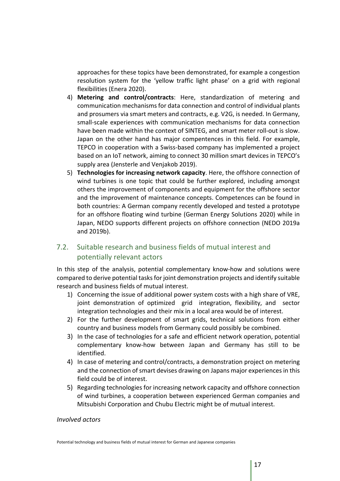approaches for these topics have been demonstrated, for example a congestion resolution system for the 'yellow traffic light phase' on a grid with regional flexibilities (Enera 2020).

- 4) **Metering and control/contracts**: Here, standardization of metering and communication mechanisms for data connection and control of individual plants and prosumers via smart meters and contracts, e.g. V2G, is needed. In Germany, small-scale experiences with communication mechanisms for data connection have been made within the context of SINTEG, and smart meter roll-out is slow. Japan on the other hand has major compentences in this field. For example, TEPCO in cooperation with a Swiss-based company has implemented a project based on an IoT network, aiming to connect 30 million smart devices in TEPCO's supply area (Jensterle and Venjakob 2019).
- 5) **Technologies for increasing network capacity**. Here, the offshore connection of wind turbines is one topic that could be further explored, including amongst others the improvement of components and equipment for the offshore sector and the improvement of maintenance concepts. Competences can be found in both countries: A German company recently developed and tested a prototype for an offshore floating wind turbine (German Energy Solutions 2020) while in Japan, NEDO supports different projects on offshore connection (NEDO 2019a and 2019b).

# 7.2. Suitable research and business fields of mutual interest and potentially relevant actors

In this step of the analysis, potential complementary know-how and solutions were compared to derive potential tasks for joint demonstration projects and identify suitable research and business fields of mutual interest.

- 1) Concerning the issue of additional power system costs with a high share of VRE, joint demonstration of optimized grid integration, flexibility, and sector integration technologies and their mix in a local area would be of interest.
- 2) For the further development of smart grids, technical solutions from either country and business models from Germany could possibly be combined.
- 3) In the case of technologies for a safe and efficient network operation, potential complementary know-how between Japan and Germany has still to be identified.
- 4) In case of metering and control/contracts, a demonstration project on metering and the connection of smart devises drawing on Japans major experiences in this field could be of interest.
- 5) Regarding technologies for increasing network capacity and offshore connection of wind turbines, a cooperation between experienced German companies and Mitsubishi Corporation and Chubu Electric might be of mutual interest.

### *Involved actors*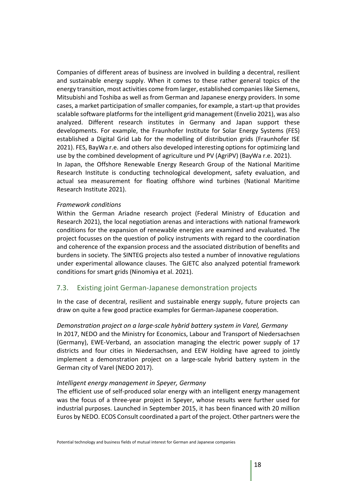Companies of different areas of business are involved in building a decentral, resilient and sustainable energy supply. When it comes to these rather general topics of the energy transition, most activities come from larger, established companies like Siemens, Mitsubishi and Toshiba as well as from German and Japanese energy providers. In some cases, a market participation of smaller companies, for example, a start-up that provides scalable software platforms for the intelligent grid management (Envelio 2021), was also analyzed. Different research institutes in Germany and Japan support these developments. For example, the Fraunhofer Institute for Solar Energy Systems (FES) established a Digital Grid Lab for the modelling of distribution grids (Fraunhofer ISE 2021). FES, BayWa r.e. and others also developed interesting options for optimizing land use by the combined development of agriculture und PV (AgriPV) (BayWa r.e. 2021). In Japan, the Offshore Renewable Energy Research Group of the National Maritime Research Institute is conducting technological development, safety evaluation, and

actual sea measurement for floating offshore wind turbines (National Maritime Research Institute 2021).

#### *Framework conditions*

Within the German Ariadne research project (Federal Ministry of Education and Research 2021), the local negotiation arenas and interactions with national framework conditions for the expansion of renewable energies are examined and evaluated. The project focusses on the question of policy instruments with regard to the coordination and coherence of the expansion process and the associated distribution of benefits and burdens in society. The SINTEG projects also tested a number of innovative regulations under experimental allowance clauses. The GJETC also analyzed potential framework conditions for smart grids (Ninomiya et al. 2021).

### 7.3. Existing joint German-Japanese demonstration projects

In the case of decentral, resilient and sustainable energy supply, future projects can draw on quite a few good practice examples for German-Japanese cooperation.

### *Demonstration project on a large-scale hybrid battery system in Varel, Germany*

In 2017, NEDO and the Ministry for Economics, Labour and Transport of Niedersachsen (Germany), EWE-Verband, an association managing the electric power supply of 17 districts and four cities in Niedersachsen, and EEW Holding have agreed to jointly implement a demonstration project on a large-scale hybrid battery system in the German city of Varel (NEDO 2017).

### *Intelligent energy management in Speyer, Germany*

The efficient use of self-produced solar energy with an intelligent energy management was the focus of a three-year project in Speyer, whose results were further used for industrial purposes. Launched in September 2015, it has been financed with 20 million Euros by NEDO. ECOS Consult coordinated a part of the project. Other partners were the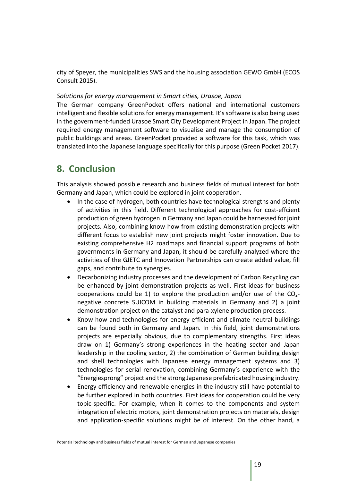city of Speyer, the municipalities SWS and the housing association GEWO GmbH (ECOS Consult 2015).

#### *Solutions for energy management in Smart cities, Urasoe, Japan*

The German company GreenPocket offers national and international customers intelligent and flexible solutions for energy management. It's software is also being used in the government-funded Urasoe Smart City Development Project in Japan. The project required energy management software to visualise and manage the consumption of public buildings and areas. GreenPocket provided a software for this task, which was translated into the Japanese language specifically for this purpose (Green Pocket 2017).

# **8. Conclusion**

This analysis showed possible research and business fields of mutual interest for both Germany and Japan, which could be explored in joint cooperation.

- In the case of hydrogen, both countries have technological strengths and plenty of activities in this field. Different technological approaches for cost-effcient production of green hydrogen in Germany and Japan could be harnessed for joint projects. Also, combining know-how from existing demonstration projects with different focus to establish new joint projects might foster innovation. Due to existing comprehensive H2 roadmaps and financial support programs of both governments in Germany and Japan, it should be carefully analyzed where the activities of the GJETC and Innovation Partnerships can create added value, fill gaps, and contribute to synergies.
- Decarbonizing industry processes and the development of Carbon Recycling can be enhanced by joint demonstration projects as well. First ideas for business cooperations could be 1) to explore the production and/or use of the  $CO<sub>2</sub>$ negative concrete SUICOM in building materials in Germany and 2) a joint demonstration project on the catalyst and para-xylene production process.
- Know-how and technologies for energy-efficient and climate neutral buildings can be found both in Germany and Japan. In this field, joint demonstrations projects are especially obvious, due to complementary strengths. First ideas draw on 1) Germany's strong experiences in the heating sector and Japan leadership in the cooling sector, 2) the combination of German building design and shell technologies with Japanese energy management systems and 3) technologies for serial renovation, combining Germany's experience with the "Energiesprong" project and the strong Japanese prefabricated housing industry.
- Energy efficiency and renewable energies in the industry still have potential to be further explored in both countries. First ideas for cooperation could be very topic-specific. For example, when it comes to the components and system integration of electric motors, joint demonstration projects on materials, design and application-specific solutions might be of interest. On the other hand, a

Potential technology and business fields of mutual interest for German and Japanese companies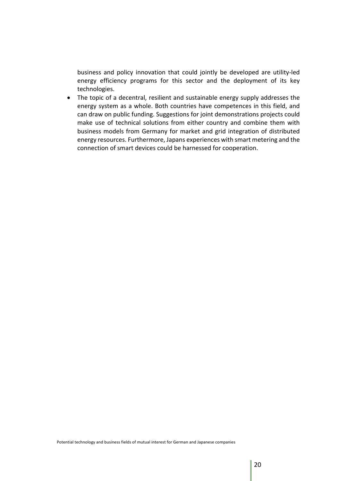business and policy innovation that could jointly be developed are utility-led energy efficiency programs for this sector and the deployment of its key technologies.

• The topic of a decentral, resilient and sustainable energy supply addresses the energy system as a whole. Both countries have competences in this field, and can draw on public funding. Suggestions for joint demonstrations projects could make use of technical solutions from either country and combine them with business models from Germany for market and grid integration of distributed energy resources. Furthermore, Japans experiences with smart metering and the connection of smart devices could be harnessed for cooperation.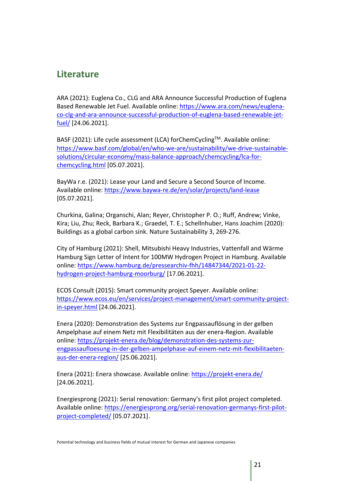# **Literature**

ARA (2021): Euglena Co., CLG and ARA Announce Successful Production of Euglena Based Renewable Jet Fuel. Available online: https://www.ara.com/news/euglenaco-clg-and-ara-announce-successful-production-of-euglena-based-renewable-jetfuel/ [24.06.2021].

BASF (2021): Life cycle assessment (LCA) forChemCycling™. Available online: https://www.basf.com/global/en/who-we-are/sustainability/we-drive-sustainablesolutions/circular-economy/mass-balance-approach/chemcycling/lca-forchemcycling.html [05.07.2021].

BayWa r.e. (2021): Lease your Land and Secure a Second Source of Income. Available online: https://www.baywa-re.de/en/solar/projects/land-lease [05.07.2021].

Churkina, Galina; Organschi, Alan; Reyer, Christopher P. O.; Ruff, Andrew; Vinke, Kira; Liu, Zhu; Reck, Barbara K.; Graedel, T. E.; Schellnhuber, Hans Joachim (2020): Buildings as a global carbon sink. Nature Sustainability 3, 269-276.

City of Hamburg (2021): Shell, Mitsubishi Heavy Industries, Vattenfall and Wärme Hamburg Sign Letter of Intent for 100MW Hydrogen Project in Hamburg. Available online: https://www.hamburg.de/pressearchiv-fhh/14847344/2021-01-22 hydrogen-project-hamburg-moorburg/ [17.06.2021].

ECOS Consult (2015): Smart community project Speyer. Available online: https://www.ecos.eu/en/services/project-management/smart-community-projectin-speyer.html [24.06.2021].

Enera (2020): Demonstration des Systems zur Engpassauflösung in der gelben Ampelphase auf einem Netz mit Flexibilitäten aus der enera-Region. Available online: https://projekt-enera.de/blog/demonstration-des-systems-zurengpassaufloesung-in-der-gelben-ampelphase-auf-einem-netz-mit-flexibilitaetenaus-der-enera-region/ [25.06.2021].

Enera (2021): Enera showcase. Available online: https://projekt-enera.de/ [24.06.2021].

Energiesprong (2021): Serial renovation: Germany's first pilot project completed. Available online: https://energiesprong.org/serial-renovation-germanys-first-pilotproject-completed/ [05.07.2021].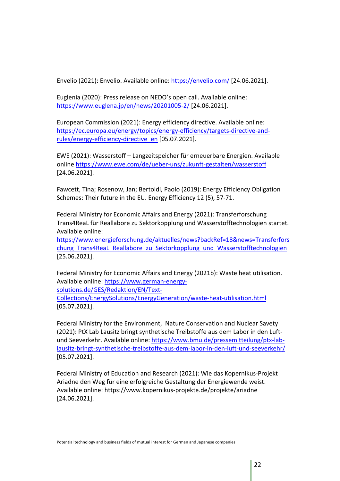Envelio (2021): Envelio. Available online: https://envelio.com/ [24.06.2021].

Euglenia (2020): Press release on NEDO's open call. Available online: https://www.euglena.jp/en/news/20201005-2/ [24.06.2021].

European Commission (2021): Energy efficiency directive. Available online: https://ec.europa.eu/energy/topics/energy-efficiency/targets-directive-andrules/energy-efficiency-directive\_en [05.07.2021].

EWE (2021): Wasserstoff – Langzeitspeicher für erneuerbare Energien. Available online https://www.ewe.com/de/ueber-uns/zukunft-gestalten/wasserstoff [24.06.2021].

Fawcett, Tina; Rosenow, Jan; Bertoldi, Paolo (2019): Energy Efficiency Obligation Schemes: Their future in the EU. Energy Efficiency 12 (5), 57-71.

Federal Ministry for Economic Affairs and Energy (2021): Transferforschung Trans4ReaL für Reallabore zu Sektorkopplung und Wasserstofftechnologien startet. Available online:

https://www.energieforschung.de/aktuelles/news?backRef=18&news=Transferfors chung Trans4ReaL Reallabore zu Sektorkopplung und Wasserstofftechnologien [25.06.2021].

Federal Ministry for Economic Affairs and Energy (2021b): Waste heat utilisation. Available online: https://www.german-energysolutions.de/GES/Redaktion/EN/Text-Collections/EnergySolutions/EnergyGeneration/waste-heat-utilisation.html [05.07.2021].

Federal Ministry for the Environment, Nature Conservation and Nuclear Savety (2021): PtX Lab Lausitz bringt synthetische Treibstoffe aus dem Labor in den Luftund Seeverkehr. Available online: https://www.bmu.de/pressemitteilung/ptx-lablausitz-bringt-synthetische-treibstoffe-aus-dem-labor-in-den-luft-und-seeverkehr/ [05.07.2021].

Federal Ministry of Education and Research (2021): Wie das Kopernikus-Projekt Ariadne den Weg für eine erfolgreiche Gestaltung der Energiewende weist. Available online: https://www.kopernikus-projekte.de/projekte/ariadne [24.06.2021].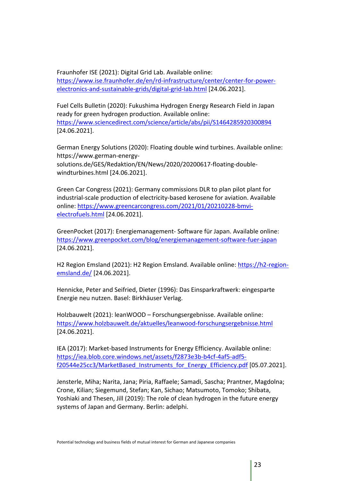Fraunhofer ISE (2021): Digital Grid Lab. Available online: https://www.ise.fraunhofer.de/en/rd-infrastructure/center/center-for-powerelectronics-and-sustainable-grids/digital-grid-lab.html [24.06.2021].

Fuel Cells Bulletin (2020): Fukushima Hydrogen Energy Research Field in Japan ready for green hydrogen production. Available online: https://www.sciencedirect.com/science/article/abs/pii/S1464285920300894 [24.06.2021].

German Energy Solutions (2020): Floating double wind turbines. Available online: https://www.german-energy-

solutions.de/GES/Redaktion/EN/News/2020/20200617-floating-doublewindturbines.html [24.06.2021].

Green Car Congress (2021): Germany commissions DLR to plan pilot plant for industrial-scale production of electricity-based kerosene for aviation. Available online: https://www.greencarcongress.com/2021/01/20210228-bmvielectrofuels.html [24.06.2021].

GreenPocket (2017): Energiemanagement- Software für Japan. Available online: https://www.greenpocket.com/blog/energiemanagement-software-fuer-japan [24.06.2021].

H2 Region Emsland (2021): H2 Region Emsland. Available online: https://h2-regionemsland.de/ [24.06.2021].

Hennicke, Peter and Seifried, Dieter (1996): Das Einsparkraftwerk: eingesparte Energie neu nutzen. Basel: Birkhäuser Verlag.

Holzbauwelt (2021): leanWOOD – Forschungsergebnisse. Available online: https://www.holzbauwelt.de/aktuelles/leanwood-forschungsergebnisse.html [24.06.2021].

IEA (2017): Market-based Instruments for Energy Efficiency. Available online: https://iea.blob.core.windows.net/assets/f2873e3b-b4cf-4af5-adf5 f20544e25cc3/MarketBased Instruments for Energy Efficiency.pdf [05.07.2021].

Jensterle, Miha; Narita, Jana; Piria, Raffaele; Samadi, Sascha; Prantner, Magdolna; Crone, Kilian; Siegemund, Stefan; Kan, Sichao; Matsumoto, Tomoko; Shibata, Yoshiaki and Thesen, Jill (2019): The role of clean hydrogen in the future energy systems of Japan and Germany. Berlin: adelphi.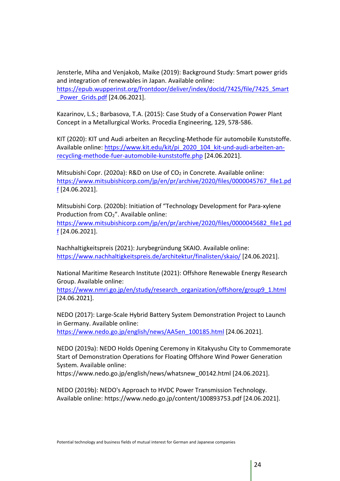Jensterle, Miha and Venjakob, Maike (2019): Background Study: Smart power grids and integration of renewables in Japan. Available online:

https://epub.wupperinst.org/frontdoor/deliver/index/docId/7425/file/7425\_Smart Power Grids.pdf [24.06.2021].

Kazarinov, L.S.; Barbasova, T.A. (2015): Case Study of a Conservation Power Plant Concept in a Metallurgical Works. Procedia Engineering, 129, 578-586.

KIT (2020): KIT und Audi arbeiten an Recycling-Methode für automobile Kunststoffe. Available online: https://www.kit.edu/kit/pi\_2020\_104\_kit-und-audi-arbeiten-anrecycling-methode-fuer-automobile-kunststoffe.php [24.06.2021].

Mitsubishi Copr. (2020a): R&D on Use of  $CO<sub>2</sub>$  in Concrete. Available online: https://www.mitsubishicorp.com/jp/en/pr/archive/2020/files/0000045767\_file1.pd f [24.06.2021].

Mitsubishi Corp. (2020b): Initiation of "Technology Development for Para-xylene Production from CO<sub>2</sub>". Available online:

https://www.mitsubishicorp.com/jp/en/pr/archive/2020/files/0000045682\_file1.pd f [24.06.2021].

Nachhaltigkeitspreis (2021): Jurybegründung SKAIO. Available online: https://www.nachhaltigkeitspreis.de/architektur/finalisten/skaio/ [24.06.2021].

National Maritime Research Institute (2021): Offshore Renewable Energy Research Group. Available online:

https://www.nmri.go.jp/en/study/research\_organization/offshore/group9\_1.html [24.06.2021].

NEDO (2017): Large-Scale Hybrid Battery System Demonstration Project to Launch in Germany. Available online: https://www.nedo.go.jp/english/news/AA5en\_100185.html [24.06.2021].

NEDO (2019a): NEDO Holds Opening Ceremony in Kitakyushu City to Commemorate Start of Demonstration Operations for Floating Offshore Wind Power Generation System. Available online:

https://www.nedo.go.jp/english/news/whatsnew\_00142.html [24.06.2021].

NEDO (2019b): NEDO's Approach to HVDC Power Transmission Technology. Available online: https://www.nedo.go.jp/content/100893753.pdf [24.06.2021].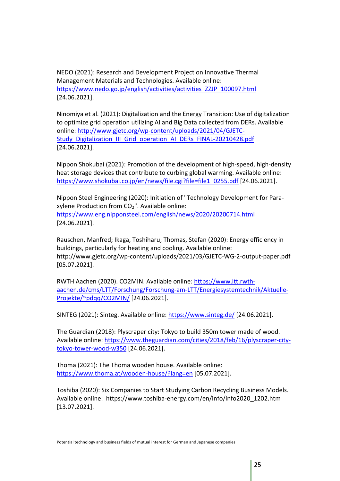NEDO (2021): Research and Development Project on Innovative Thermal Management Materials and Technologies. Available online: https://www.nedo.go.jp/english/activities/activities\_ZZJP\_100097.html [24.06.2021].

Ninomiya et al. (2021): Digitalization and the Energy Transition: Use of digitalization to optimize grid operation utilizing AI and Big Data collected from DERs. Available online: http://www.gjetc.org/wp-content/uploads/2021/04/GJETC-Study\_Digitalization\_III\_Grid\_operation\_AI\_DERs\_FINAL-20210428.pdf [24.06.2021].

Nippon Shokubai (2021): Promotion of the development of high-speed, high-density heat storage devices that contribute to curbing global warming. Available online: https://www.shokubai.co.jp/en/news/file.cgi?file=file1\_0255.pdf [24.06.2021].

Nippon Steel Engineering (2020): Initiation of "Technology Development for Paraxylene Production from  $CO<sub>2</sub>$ ". Available online: https://www.eng.nipponsteel.com/english/news/2020/20200714.html [24.06.2021].

Rauschen, Manfred; Ikaga, Toshiharu; Thomas, Stefan (2020): Energy efficiency in buildings, particularly for heating and cooling. Available online: http://www.gjetc.org/wp-content/uploads/2021/03/GJETC-WG-2-output-paper.pdf [05.07.2021].

RWTH Aachen (2020). CO2MIN. Available online: https://www.ltt.rwthaachen.de/cms/LTT/Forschung/Forschung-am-LTT/Energiesystemtechnik/Aktuelle-Projekte/~pdqq/CO2MIN/ [24.06.2021].

SINTEG (2021): Sinteg. Available online: https://www.sinteg.de/ [24.06.2021].

The Guardian (2018): Plyscraper city: Tokyo to build 350m tower made of wood. Available online: https://www.theguardian.com/cities/2018/feb/16/plyscraper-citytokyo-tower-wood-w350 [24.06.2021].

Thoma (2021): The Thoma wooden house. Available online: https://www.thoma.at/wooden-house/?lang=en [05.07.2021].

Toshiba (2020): Six Companies to Start Studying Carbon Recycling Business Models. Available online: https://www.toshiba-energy.com/en/info/info2020\_1202.htm [13.07.2021].